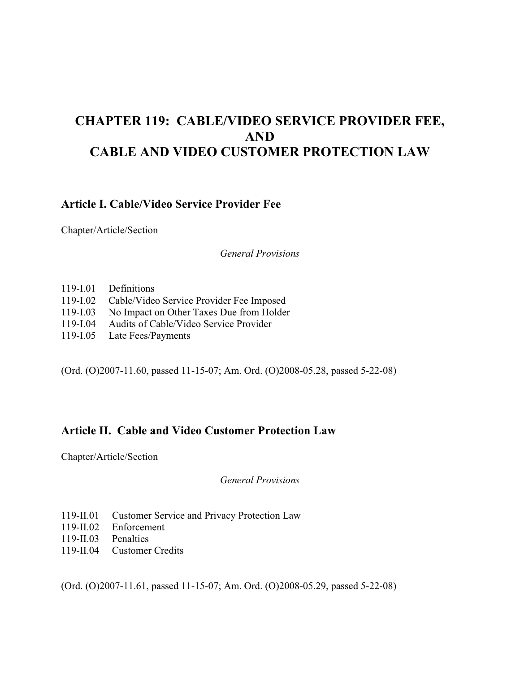# **CHAPTER 119: CABLE/VIDEO SERVICE PROVIDER FEE, AND CABLE AND VIDEO CUSTOMER PROTECTION LAW**

### **Article I. Cable/Video Service Provider Fee**

Chapter/Article/Section

*General Provisions* 

- 119-I.01 Definitions
- 119-I.02 Cable/Video Service Provider Fee Imposed
- 119-I.03 No Impact on Other Taxes Due from Holder
- 119-I.04 Audits of Cable/Video Service Provider
- 119-I.05 Late Fees/Payments

(Ord. (O)2007-11.60, passed 11-15-07; Am. Ord. (O)2008-05.28, passed 5-22-08)

### **Article II. Cable and Video Customer Protection Law**

Chapter/Article/Section

*General Provisions* 

- 119-II.01 Customer Service and Privacy Protection Law
- 119-II.02 Enforcement
- 119-II.03 Penalties
- 119-II.04 Customer Credits

(Ord. (O)2007-11.61, passed 11-15-07; Am. Ord. (O)2008-05.29, passed 5-22-08)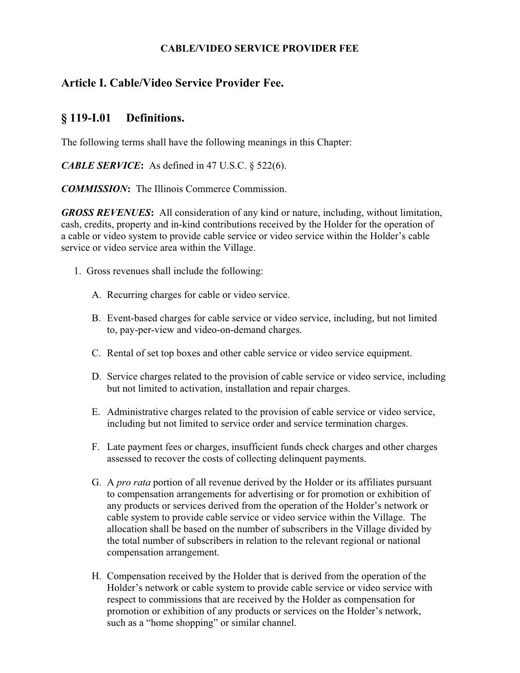#### **CABLE/VIDEO SERVICE PROVIDER FEE**

# **Article I. Cable/Video Service Provider Fee.**

# **§ 119-I.01 Definitions.**

The following terms shall have the following meanings in this Chapter:

*CABLE SERVICE***:** As defined in 47 U.S.C. § 522(6).

*COMMISSION***:** The Illinois Commerce Commission.

*GROSS REVENUES***:** All consideration of any kind or nature, including, without limitation, cash, credits, property and in-kind contributions received by the Holder for the operation of a cable or video system to provide cable service or video service within the Holder's cable service or video service area within the Village.

- 1. Gross revenues shall include the following:
	- A. Recurring charges for cable or video service.
	- B. Event-based charges for cable service or video service, including, but not limited to, pay-per-view and video-on-demand charges.
	- C. Rental of set top boxes and other cable service or video service equipment.
	- D. Service charges related to the provision of cable service or video service, including but not limited to activation, installation and repair charges.
	- E. Administrative charges related to the provision of cable service or video service, including but not limited to service order and service termination charges.
	- F. Late payment fees or charges, insufficient funds check charges and other charges assessed to recover the costs of collecting delinquent payments.
	- G. A *pro rata* portion of all revenue derived by the Holder or its affiliates pursuant to compensation arrangements for advertising or for promotion or exhibition of any products or services derived from the operation of the Holder's network or cable system to provide cable service or video service within the Village. The allocation shall be based on the number of subscribers in the Village divided by the total number of subscribers in relation to the relevant regional or national compensation arrangement.
	- H. Compensation received by the Holder that is derived from the operation of the Holder's network or cable system to provide cable service or video service with respect to commissions that are received by the Holder as compensation for promotion or exhibition of any products or services on the Holder's network, such as a "home shopping" or similar channel.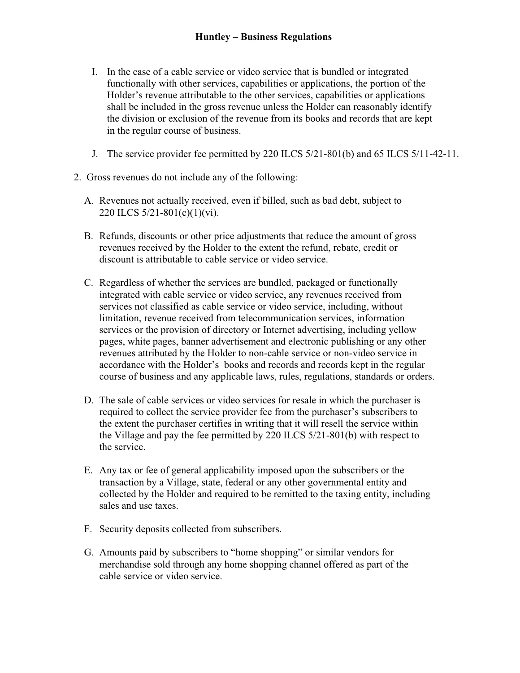- I. In the case of a cable service or video service that is bundled or integrated functionally with other services, capabilities or applications, the portion of the Holder's revenue attributable to the other services, capabilities or applications shall be included in the gross revenue unless the Holder can reasonably identify the division or exclusion of the revenue from its books and records that are kept in the regular course of business.
- J. The service provider fee permitted by 220 ILCS 5/21-801(b) and 65 ILCS 5/11-42-11.
- 2. Gross revenues do not include any of the following:
	- A. Revenues not actually received, even if billed, such as bad debt, subject to 220 ILCS 5/21-801(c)(1)(vi).
	- B. Refunds, discounts or other price adjustments that reduce the amount of gross revenues received by the Holder to the extent the refund, rebate, credit or discount is attributable to cable service or video service.
	- C. Regardless of whether the services are bundled, packaged or functionally integrated with cable service or video service, any revenues received from services not classified as cable service or video service, including, without limitation, revenue received from telecommunication services, information services or the provision of directory or Internet advertising, including yellow pages, white pages, banner advertisement and electronic publishing or any other revenues attributed by the Holder to non-cable service or non-video service in accordance with the Holder's books and records and records kept in the regular course of business and any applicable laws, rules, regulations, standards or orders.
	- D. The sale of cable services or video services for resale in which the purchaser is required to collect the service provider fee from the purchaser's subscribers to the extent the purchaser certifies in writing that it will resell the service within the Village and pay the fee permitted by 220 ILCS 5/21-801(b) with respect to the service.
	- E. Any tax or fee of general applicability imposed upon the subscribers or the transaction by a Village, state, federal or any other governmental entity and collected by the Holder and required to be remitted to the taxing entity, including sales and use taxes.
	- F. Security deposits collected from subscribers.
	- G. Amounts paid by subscribers to "home shopping" or similar vendors for merchandise sold through any home shopping channel offered as part of the cable service or video service.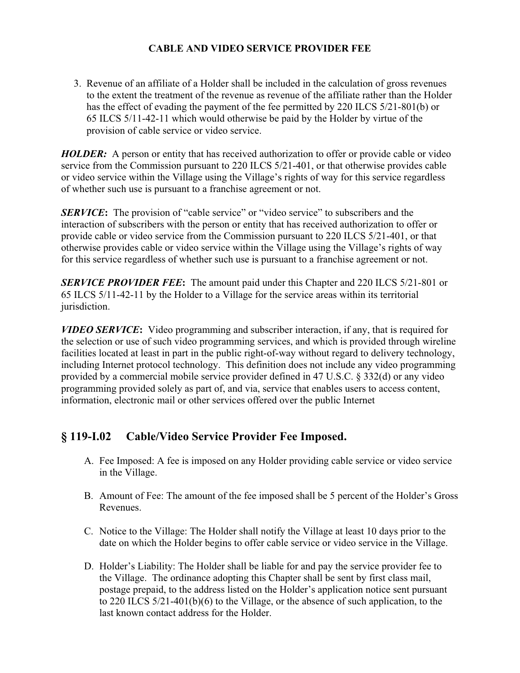### **CABLE AND VIDEO SERVICE PROVIDER FEE**

 3. Revenue of an affiliate of a Holder shall be included in the calculation of gross revenues to the extent the treatment of the revenue as revenue of the affiliate rather than the Holder has the effect of evading the payment of the fee permitted by 220 ILCS 5/21-801(b) or 65 ILCS 5/11-42-11 which would otherwise be paid by the Holder by virtue of the provision of cable service or video service.

*HOLDER:* A person or entity that has received authorization to offer or provide cable or video service from the Commission pursuant to 220 ILCS 5/21-401, or that otherwise provides cable or video service within the Village using the Village's rights of way for this service regardless of whether such use is pursuant to a franchise agreement or not.

*SERVICE*: The provision of "cable service" or "video service" to subscribers and the interaction of subscribers with the person or entity that has received authorization to offer or provide cable or video service from the Commission pursuant to 220 ILCS 5/21-401, or that otherwise provides cable or video service within the Village using the Village's rights of way for this service regardless of whether such use is pursuant to a franchise agreement or not.

*SERVICE PROVIDER FEE***:** The amount paid under this Chapter and 220 ILCS 5/21-801 or 65 ILCS 5/11-42-11 by the Holder to a Village for the service areas within its territorial jurisdiction.

*VIDEO SERVICE***:** Video programming and subscriber interaction, if any, that is required for the selection or use of such video programming services, and which is provided through wireline facilities located at least in part in the public right-of-way without regard to delivery technology, including Internet protocol technology. This definition does not include any video programming provided by a commercial mobile service provider defined in 47 U.S.C. § 332(d) or any video programming provided solely as part of, and via, service that enables users to access content, information, electronic mail or other services offered over the public Internet

# **§ 119-I.02 Cable/Video Service Provider Fee Imposed.**

- A. Fee Imposed: A fee is imposed on any Holder providing cable service or video service in the Village.
- B. Amount of Fee: The amount of the fee imposed shall be 5 percent of the Holder's Gross Revenues.
- C. Notice to the Village: The Holder shall notify the Village at least 10 days prior to the date on which the Holder begins to offer cable service or video service in the Village.
- D. Holder's Liability: The Holder shall be liable for and pay the service provider fee to the Village. The ordinance adopting this Chapter shall be sent by first class mail, postage prepaid, to the address listed on the Holder's application notice sent pursuant to 220 ILCS 5/21-401(b)(6) to the Village, or the absence of such application, to the last known contact address for the Holder.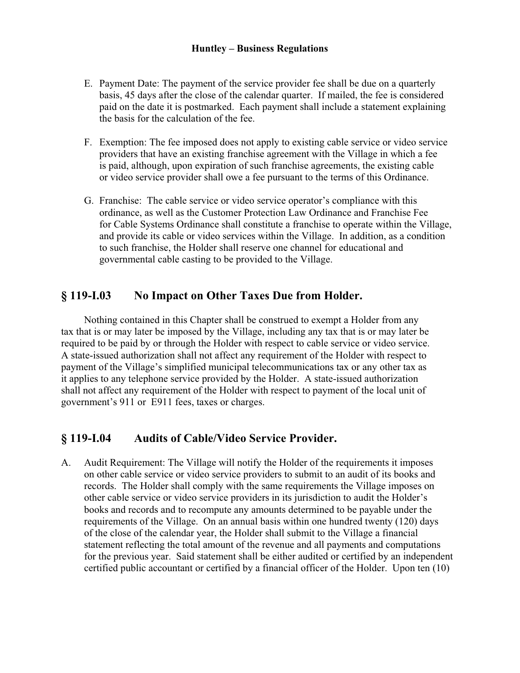#### **Huntley – Business Regulations**

- E. Payment Date: The payment of the service provider fee shall be due on a quarterly basis, 45 days after the close of the calendar quarter. If mailed, the fee is considered paid on the date it is postmarked. Each payment shall include a statement explaining the basis for the calculation of the fee.
- F. Exemption: The fee imposed does not apply to existing cable service or video service providers that have an existing franchise agreement with the Village in which a fee is paid, although, upon expiration of such franchise agreements, the existing cable or video service provider shall owe a fee pursuant to the terms of this Ordinance.
- G. Franchise: The cable service or video service operator's compliance with this ordinance, as well as the Customer Protection Law Ordinance and Franchise Fee for Cable Systems Ordinance shall constitute a franchise to operate within the Village, and provide its cable or video services within the Village. In addition, as a condition to such franchise, the Holder shall reserve one channel for educational and governmental cable casting to be provided to the Village.

## **§ 119-I.03 No Impact on Other Taxes Due from Holder.**

 Nothing contained in this Chapter shall be construed to exempt a Holder from any tax that is or may later be imposed by the Village, including any tax that is or may later be required to be paid by or through the Holder with respect to cable service or video service. A state-issued authorization shall not affect any requirement of the Holder with respect to payment of the Village's simplified municipal telecommunications tax or any other tax as it applies to any telephone service provided by the Holder. A state-issued authorization shall not affect any requirement of the Holder with respect to payment of the local unit of government's 911 or E911 fees, taxes or charges.

# **§ 119-I.04 Audits of Cable/Video Service Provider.**

A. Audit Requirement: The Village will notify the Holder of the requirements it imposes on other cable service or video service providers to submit to an audit of its books and records. The Holder shall comply with the same requirements the Village imposes on other cable service or video service providers in its jurisdiction to audit the Holder's books and records and to recompute any amounts determined to be payable under the requirements of the Village. On an annual basis within one hundred twenty (120) days of the close of the calendar year, the Holder shall submit to the Village a financial statement reflecting the total amount of the revenue and all payments and computations for the previous year. Said statement shall be either audited or certified by an independent certified public accountant or certified by a financial officer of the Holder. Upon ten (10)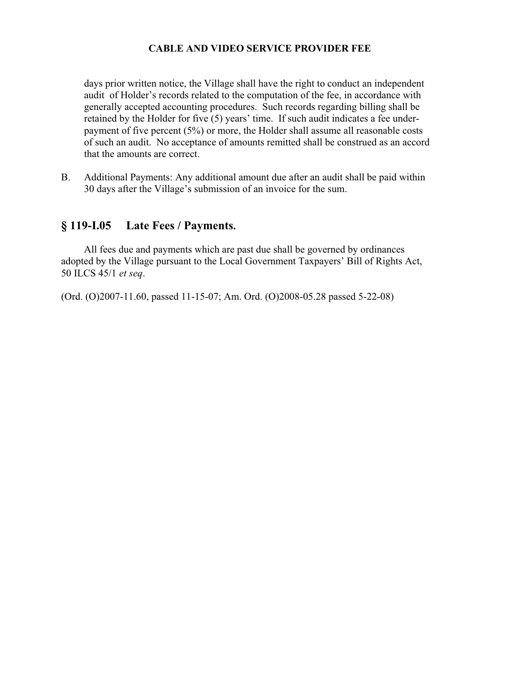#### **CABLE AND VIDEO SERVICE PROVIDER FEE**

 days prior written notice, the Village shall have the right to conduct an independent audit of Holder's records related to the computation of the fee, in accordance with generally accepted accounting procedures. Such records regarding billing shall be retained by the Holder for five (5) years' time. If such audit indicates a fee underpayment of five percent (5%) or more, the Holder shall assume all reasonable costs of such an audit. No acceptance of amounts remitted shall be construed as an accord that the amounts are correct.

B. Additional Payments: Any additional amount due after an audit shall be paid within 30 days after the Village's submission of an invoice for the sum.

### **§ 119-I.05 Late Fees / Payments.**

 All fees due and payments which are past due shall be governed by ordinances adopted by the Village pursuant to the Local Government Taxpayers' Bill of Rights Act, 50 ILCS 45/1 *et seq*.

(Ord. (O)2007-11.60, passed 11-15-07; Am. Ord. (O)2008-05.28 passed 5-22-08)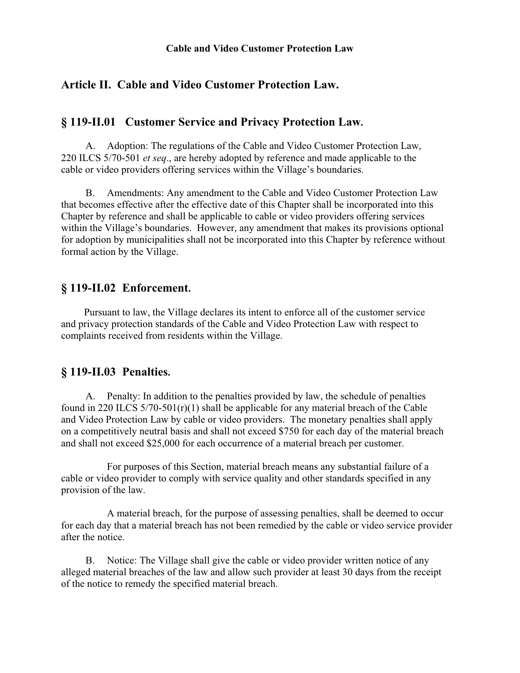#### **Cable and Video Customer Protection Law**

### **Article II. Cable and Video Customer Protection Law.**

### **§ 119-II.01 Customer Service and Privacy Protection Law.**

A. Adoption: The regulations of the Cable and Video Customer Protection Law, 220 ILCS 5/70-501 *et seq*., are hereby adopted by reference and made applicable to the cable or video providers offering services within the Village's boundaries.

B. Amendments: Any amendment to the Cable and Video Customer Protection Law that becomes effective after the effective date of this Chapter shall be incorporated into this Chapter by reference and shall be applicable to cable or video providers offering services within the Village's boundaries. However, any amendment that makes its provisions optional for adoption by municipalities shall not be incorporated into this Chapter by reference without formal action by the Village.

#### **§ 119-II.02 Enforcement.**

 Pursuant to law, the Village declares its intent to enforce all of the customer service and privacy protection standards of the Cable and Video Protection Law with respect to complaints received from residents within the Village.

#### **§ 119-II.03 Penalties.**

A. Penalty: In addition to the penalties provided by law, the schedule of penalties found in 220 ILCS 5/70-501(r)(1) shall be applicable for any material breach of the Cable and Video Protection Law by cable or video providers. The monetary penalties shall apply on a competitively neutral basis and shall not exceed \$750 for each day of the material breach and shall not exceed \$25,000 for each occurrence of a material breach per customer.

 For purposes of this Section, material breach means any substantial failure of a cable or video provider to comply with service quality and other standards specified in any provision of the law.

 A material breach, for the purpose of assessing penalties, shall be deemed to occur for each day that a material breach has not been remedied by the cable or video service provider after the notice.

B. Notice: The Village shall give the cable or video provider written notice of any alleged material breaches of the law and allow such provider at least 30 days from the receipt of the notice to remedy the specified material breach.